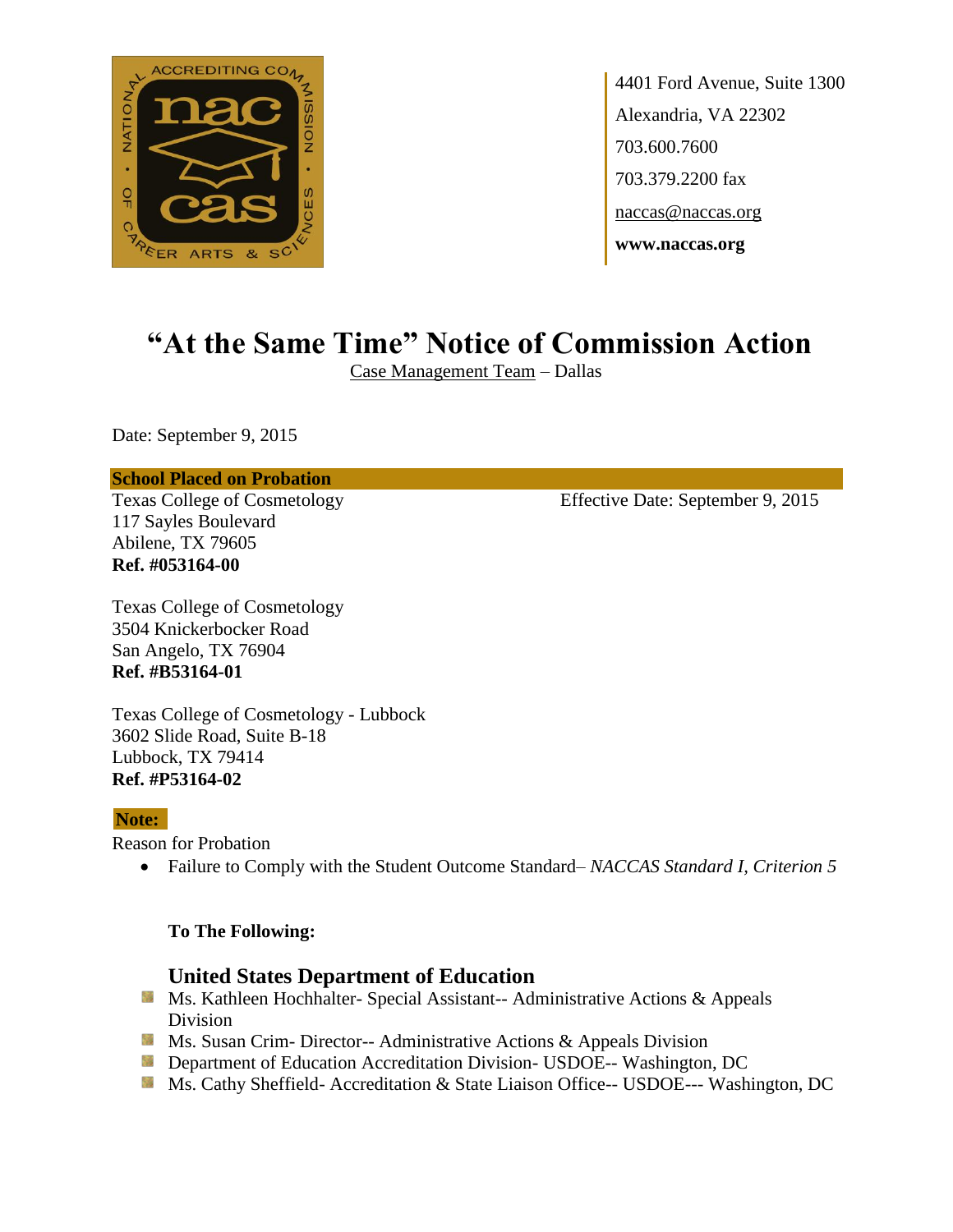

4401 Ford Avenue, Suite 1300 Alexandria, VA 22302 703.600.7600 703.379.2200 fax naccas@naccas.org **www.naccas.org**

# **"At the Same Time" Notice of Commission Action**

Case Management Team – Dallas

Date: September 9, 2015

#### **School Placed on Probation**

117 Sayles Boulevard Abilene, TX 79605 **Ref. #053164-00**

Texas College of Cosmetology Effective Date: September 9, 2015

Texas College of Cosmetology 3504 Knickerbocker Road San Angelo, TX 76904 **Ref. #B53164-01**

Texas College of Cosmetology - Lubbock 3602 Slide Road, Suite B-18 Lubbock, TX 79414 **Ref. #P53164-02**

## **Note:**

Reason for Probation

Failure to Comply with the Student Outcome Standard– *NACCAS Standard I, Criterion 5*

## **To The Following:**

## **United States Department of Education**

- **Ms. Kathleen Hochhalter- Special Assistant-- Administrative Actions & Appeals** Division
- **MS.** Susan Crim-Director-- Administrative Actions & Appeals Division
- **Department of Education Accreditation Division- USDOE-- Washington, DC**
- Ms. Cathy Sheffield- Accreditation & State Liaison Office-- USDOE--- Washington, DC